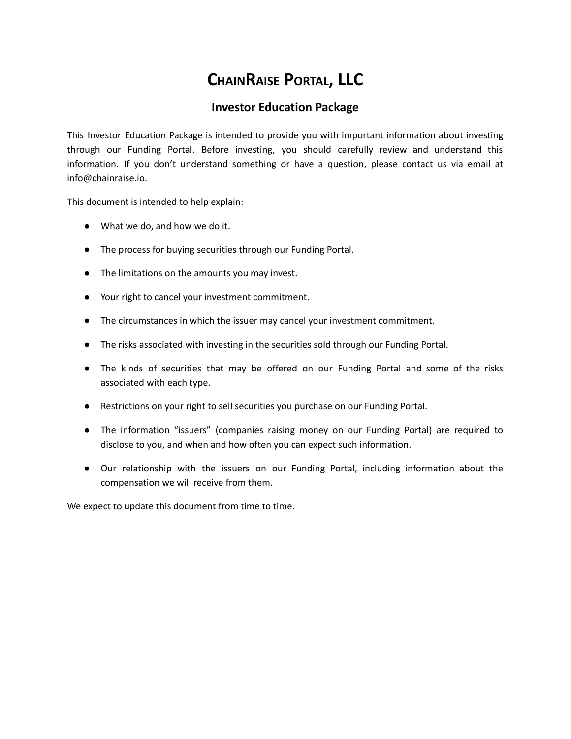# **CHAINRAISE PORTAL, LLC**

## **Investor Education Package**

This Investor Education Package is intended to provide you with important information about investing through our Funding Portal. Before investing, you should carefully review and understand this information. If you don't understand something or have a question, please contact us via email at info@chainraise.io.

This document is intended to help explain:

- What we do, and how we do it.
- The process for buying securities through our Funding Portal.
- The limitations on the amounts you may invest.
- Your right to cancel your investment commitment.
- The circumstances in which the issuer may cancel your investment commitment.
- The risks associated with investing in the securities sold through our Funding Portal.
- The kinds of securities that may be offered on our Funding Portal and some of the risks associated with each type.
- Restrictions on your right to sell securities you purchase on our Funding Portal.
- The information "issuers" (companies raising money on our Funding Portal) are required to disclose to you, and when and how often you can expect such information.
- Our relationship with the issuers on our Funding Portal, including information about the compensation we will receive from them.

We expect to update this document from time to time.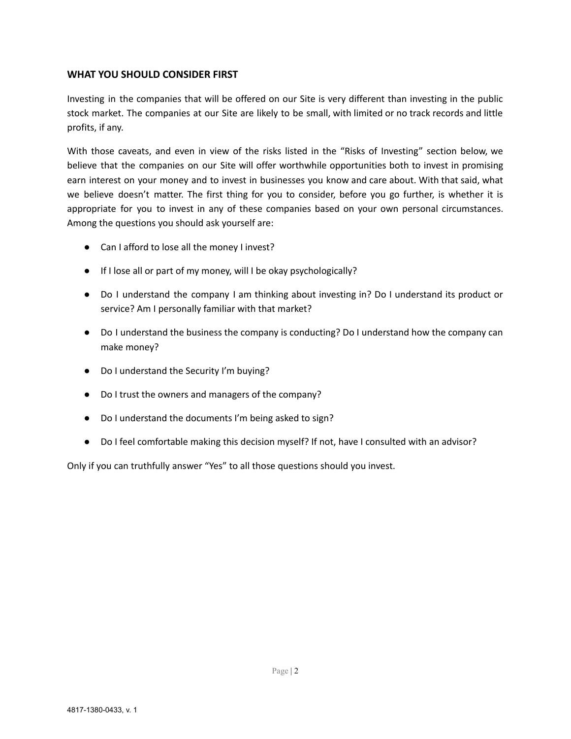## **WHAT YOU SHOULD CONSIDER FIRST**

Investing in the companies that will be offered on our Site is very different than investing in the public stock market. The companies at our Site are likely to be small, with limited or no track records and little profits, if any.

With those caveats, and even in view of the risks listed in the "Risks of Investing" section below, we believe that the companies on our Site will offer worthwhile opportunities both to invest in promising earn interest on your money and to invest in businesses you know and care about. With that said, what we believe doesn't matter. The first thing for you to consider, before you go further, is whether it is appropriate for you to invest in any of these companies based on your own personal circumstances. Among the questions you should ask yourself are:

- Can I afford to lose all the money I invest?
- If I lose all or part of my money, will I be okay psychologically?
- Do I understand the company I am thinking about investing in? Do I understand its product or service? Am I personally familiar with that market?
- Do I understand the business the company is conducting? Do I understand how the company can make money?
- Do I understand the Security I'm buying?
- Do I trust the owners and managers of the company?
- Do I understand the documents I'm being asked to sign?
- Do I feel comfortable making this decision myself? If not, have I consulted with an advisor?

Only if you can truthfully answer "Yes" to all those questions should you invest.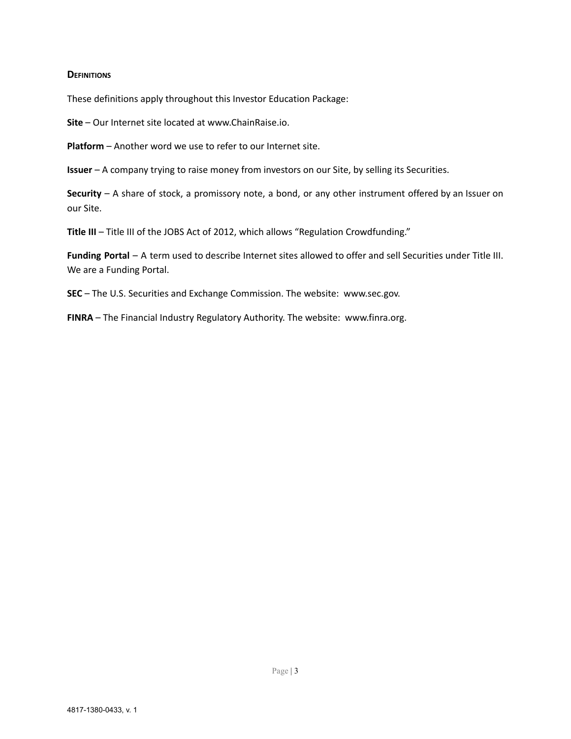#### **DEFINITIONS**

These definitions apply throughout this Investor Education Package:

**Site** – Our Internet site located at www.ChainRaise.io.

**Platform** – Another word we use to refer to our Internet site.

**Issuer** – A company trying to raise money from investors on our Site, by selling its Securities.

**Security** – A share of stock, a promissory note, a bond, or any other instrument offered by an Issuer on our Site.

**Title III** – Title III of the JOBS Act of 2012, which allows "Regulation Crowdfunding."

**Funding Portal** – A term used to describe Internet sites allowed to offer and sell Securities under Title III. We are a Funding Portal.

**SEC** – The U.S. Securities and Exchange Commission. The website: www.sec.gov.

**FINRA** – The Financial Industry Regulatory Authority. The website: www.finra.org.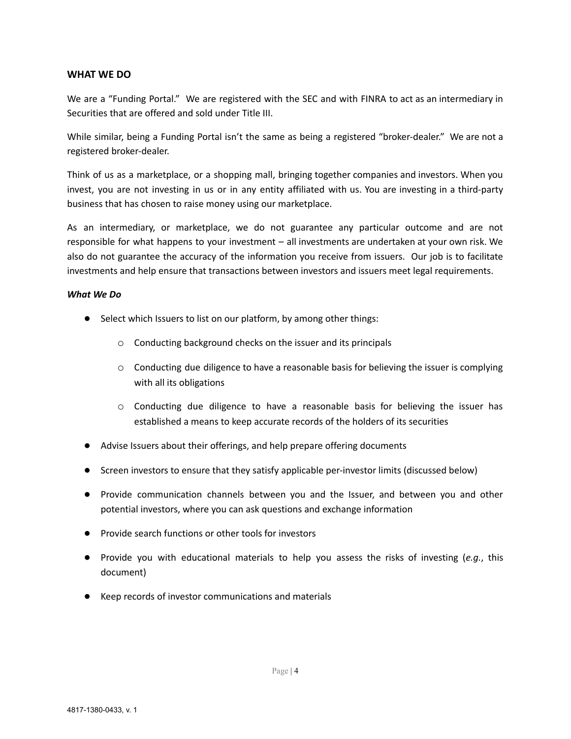## **WHAT WE DO**

We are a "Funding Portal." We are registered with the SEC and with FINRA to act as an intermediary in Securities that are offered and sold under Title III.

While similar, being a Funding Portal isn't the same as being a registered "broker-dealer." We are not a registered broker-dealer.

Think of us as a marketplace, or a shopping mall, bringing together companies and investors. When you invest, you are not investing in us or in any entity affiliated with us. You are investing in a third-party business that has chosen to raise money using our marketplace.

As an intermediary, or marketplace, we do not guarantee any particular outcome and are not responsible for what happens to your investment – all investments are undertaken at your own risk. We also do not guarantee the accuracy of the information you receive from issuers. Our job is to facilitate investments and help ensure that transactions between investors and issuers meet legal requirements.

#### *What We Do*

- Select which Issuers to list on our platform, by among other things:
	- o Conducting background checks on the issuer and its principals
	- o Conducting due diligence to have a reasonable basis for believing the issuer is complying with all its obligations
	- $\circ$  Conducting due diligence to have a reasonable basis for believing the issuer has established a means to keep accurate records of the holders of its securities
- Advise Issuers about their offerings, and help prepare offering documents
- Screen investors to ensure that they satisfy applicable per-investor limits (discussed below)
- Provide communication channels between you and the Issuer, and between you and other potential investors, where you can ask questions and exchange information
- Provide search functions or other tools for investors
- Provide you with educational materials to help you assess the risks of investing (*e.g.*, this document)
- Keep records of investor communications and materials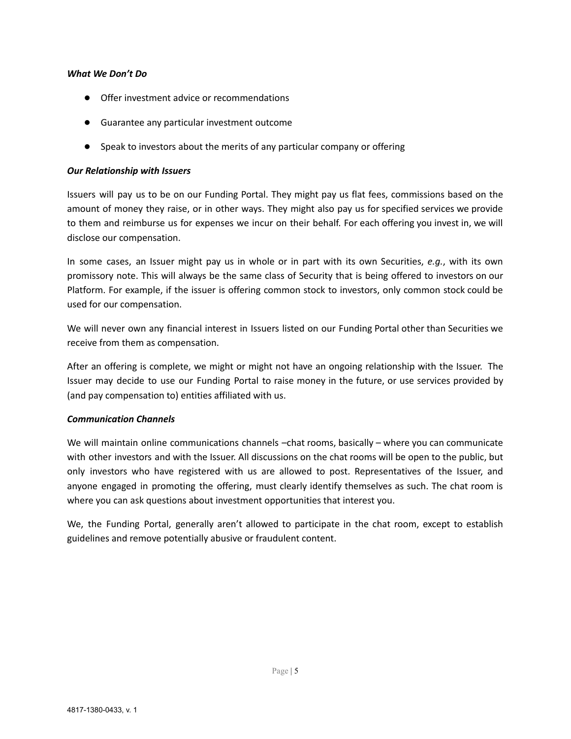#### *What We Don't Do*

- Offer investment advice or recommendations
- Guarantee any particular investment outcome
- Speak to investors about the merits of any particular company or offering

#### *Our Relationship with Issuers*

Issuers will pay us to be on our Funding Portal. They might pay us flat fees, commissions based on the amount of money they raise, or in other ways. They might also pay us for specified services we provide to them and reimburse us for expenses we incur on their behalf. For each offering you invest in, we will disclose our compensation.

In some cases, an Issuer might pay us in whole or in part with its own Securities, *e.g.*, with its own promissory note. This will always be the same class of Security that is being offered to investors on our Platform. For example, if the issuer is offering common stock to investors, only common stock could be used for our compensation.

We will never own any financial interest in Issuers listed on our Funding Portal other than Securities we receive from them as compensation.

After an offering is complete, we might or might not have an ongoing relationship with the Issuer. The Issuer may decide to use our Funding Portal to raise money in the future, or use services provided by (and pay compensation to) entities affiliated with us.

#### *Communication Channels*

We will maintain online communications channels –chat rooms, basically – where you can communicate with other investors and with the Issuer. All discussions on the chat rooms will be open to the public, but only investors who have registered with us are allowed to post. Representatives of the Issuer, and anyone engaged in promoting the offering, must clearly identify themselves as such. The chat room is where you can ask questions about investment opportunities that interest you.

We, the Funding Portal, generally aren't allowed to participate in the chat room, except to establish guidelines and remove potentially abusive or fraudulent content.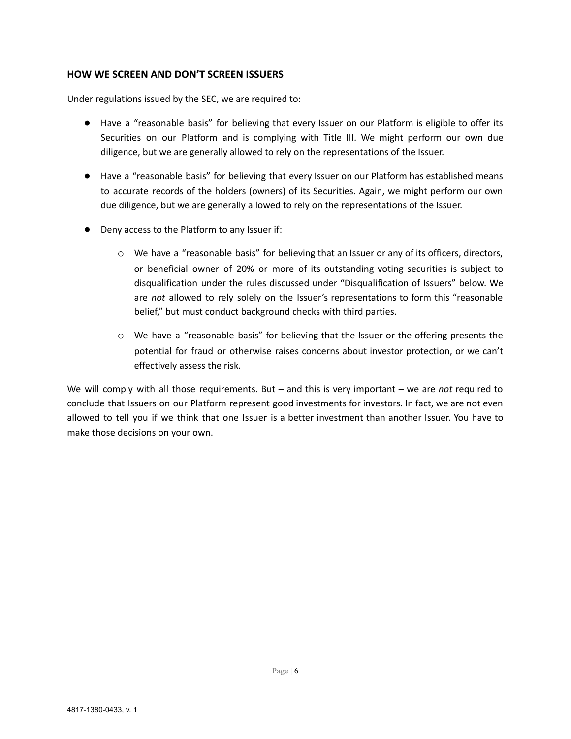## **HOW WE SCREEN AND DON'T SCREEN ISSUERS**

Under regulations issued by the SEC, we are required to:

- Have a "reasonable basis" for believing that every Issuer on our Platform is eligible to offer its Securities on our Platform and is complying with Title III. We might perform our own due diligence, but we are generally allowed to rely on the representations of the Issuer.
- Have a "reasonable basis" for believing that every Issuer on our Platform has established means to accurate records of the holders (owners) of its Securities. Again, we might perform our own due diligence, but we are generally allowed to rely on the representations of the Issuer.
- Deny access to the Platform to any Issuer if:
	- o We have a "reasonable basis" for believing that an Issuer or any of its officers, directors, or beneficial owner of 20% or more of its outstanding voting securities is subject to disqualification under the rules discussed under "Disqualification of Issuers" below. We are *not* allowed to rely solely on the Issuer's representations to form this "reasonable belief," but must conduct background checks with third parties.
	- o We have a "reasonable basis" for believing that the Issuer or the offering presents the potential for fraud or otherwise raises concerns about investor protection, or we can't effectively assess the risk.

We will comply with all those requirements. But – and this is very important – we are *not* required to conclude that Issuers on our Platform represent good investments for investors. In fact, we are not even allowed to tell you if we think that one Issuer is a better investment than another Issuer. You have to make those decisions on your own.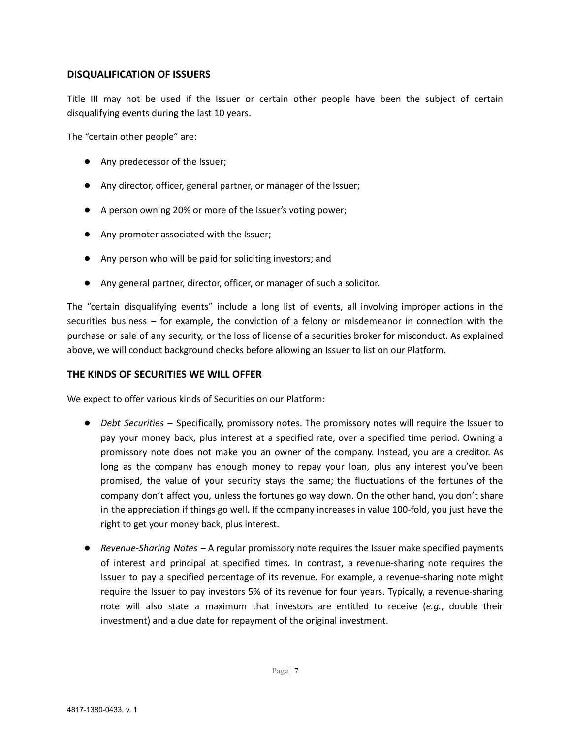## **DISQUALIFICATION OF ISSUERS**

Title III may not be used if the Issuer or certain other people have been the subject of certain disqualifying events during the last 10 years.

The "certain other people" are:

- Any predecessor of the Issuer;
- Any director, officer, general partner, or manager of the Issuer;
- A person owning 20% or more of the Issuer's voting power;
- Any promoter associated with the Issuer;
- Any person who will be paid for soliciting investors; and
- Any general partner, director, officer, or manager of such a solicitor.

The "certain disqualifying events" include a long list of events, all involving improper actions in the securities business – for example, the conviction of a felony or misdemeanor in connection with the purchase or sale of any security, or the loss of license of a securities broker for misconduct. As explained above, we will conduct background checks before allowing an Issuer to list on our Platform.

#### **THE KINDS OF SECURITIES WE WILL OFFER**

We expect to offer various kinds of Securities on our Platform:

- *Debt Securities* Specifically, promissory notes. The promissory notes will require the Issuer to pay your money back, plus interest at a specified rate, over a specified time period. Owning a promissory note does not make you an owner of the company. Instead, you are a creditor. As long as the company has enough money to repay your loan, plus any interest you've been promised, the value of your security stays the same; the fluctuations of the fortunes of the company don't affect you, unless the fortunes go way down. On the other hand, you don't share in the appreciation if things go well. If the company increases in value 100-fold, you just have the right to get your money back, plus interest.
- *Revenue-Sharing Notes* A regular promissory note requires the Issuer make specified payments of interest and principal at specified times. In contrast, a revenue-sharing note requires the Issuer to pay a specified percentage of its revenue. For example, a revenue-sharing note might require the Issuer to pay investors 5% of its revenue for four years. Typically, a revenue-sharing note will also state a maximum that investors are entitled to receive (*e.g.*, double their investment) and a due date for repayment of the original investment.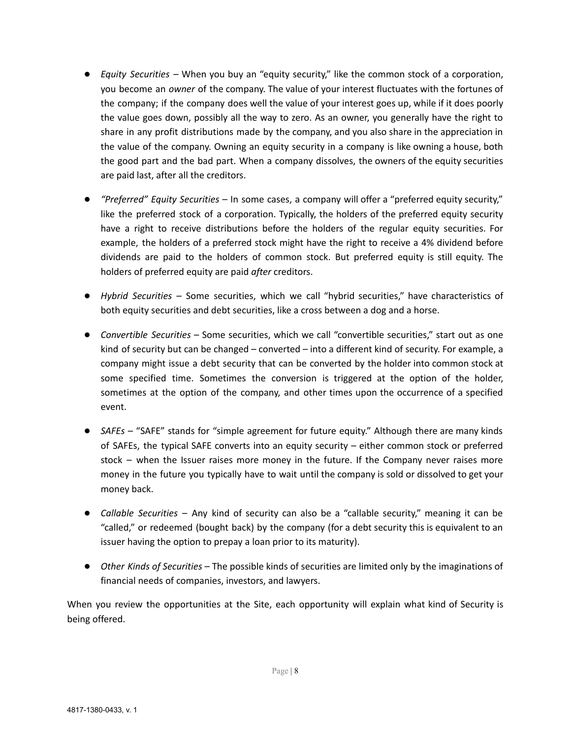- *Equity Securities* When you buy an "equity security," like the common stock of a corporation, you become an *owner* of the company. The value of your interest fluctuates with the fortunes of the company; if the company does well the value of your interest goes up, while if it does poorly the value goes down, possibly all the way to zero. As an owner, you generally have the right to share in any profit distributions made by the company, and you also share in the appreciation in the value of the company. Owning an equity security in a company is like owning a house, both the good part and the bad part. When a company dissolves, the owners of the equity securities are paid last, after all the creditors.
- *"Preferred" Equity Securities* In some cases, a company will offer a "preferred equity security," like the preferred stock of a corporation. Typically, the holders of the preferred equity security have a right to receive distributions before the holders of the regular equity securities. For example, the holders of a preferred stock might have the right to receive a 4% dividend before dividends are paid to the holders of common stock. But preferred equity is still equity. The holders of preferred equity are paid *after* creditors.
- *Hybrid Securities* Some securities, which we call "hybrid securities," have characteristics of both equity securities and debt securities, like a cross between a dog and a horse.
- *Convertible Securities* Some securities, which we call "convertible securities," start out as one kind of security but can be changed – converted – into a different kind of security. For example, a company might issue a debt security that can be converted by the holder into common stock at some specified time. Sometimes the conversion is triggered at the option of the holder, sometimes at the option of the company, and other times upon the occurrence of a specified event.
- *SAFEs* "SAFE" stands for "simple agreement for future equity." Although there are many kinds of SAFEs, the typical SAFE converts into an equity security – either common stock or preferred stock – when the Issuer raises more money in the future. If the Company never raises more money in the future you typically have to wait until the company is sold or dissolved to get your money back.
- *Callable Securities* Any kind of security can also be a "callable security," meaning it can be "called," or redeemed (bought back) by the company (for a debt security this is equivalent to an issuer having the option to prepay a loan prior to its maturity).
- *Other Kinds of Securities* The possible kinds of securities are limited only by the imaginations of financial needs of companies, investors, and lawyers.

When you review the opportunities at the Site, each opportunity will explain what kind of Security is being offered.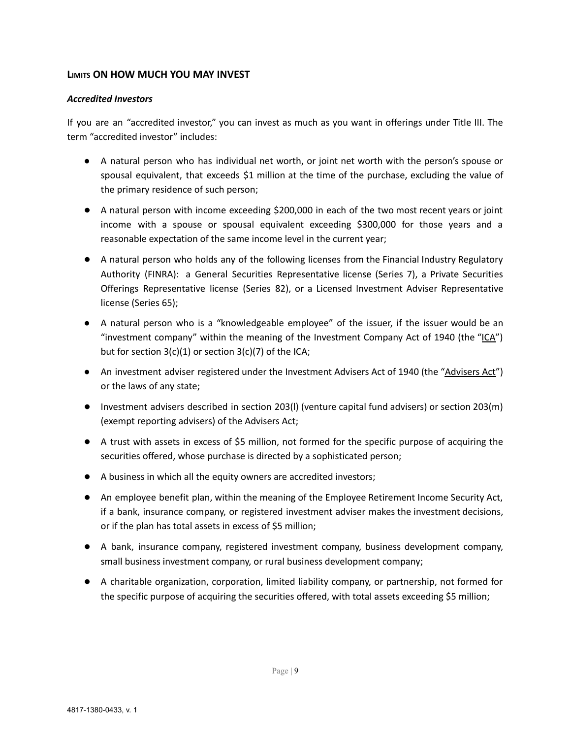## **LIMITS ON HOW MUCH YOU MAY INVEST**

#### *Accredited Investors*

If you are an "accredited investor," you can invest as much as you want in offerings under Title III. The term "accredited investor" includes:

- A natural person who has individual net worth, or joint net worth with the person's spouse or spousal equivalent, that exceeds \$1 million at the time of the purchase, excluding the value of the primary residence of such person;
- A natural person with income exceeding \$200,000 in each of the two most recent years or joint income with a spouse or spousal equivalent exceeding \$300,000 for those years and a reasonable expectation of the same income level in the current year;
- A natural person who holds any of the following licenses from the Financial Industry Regulatory Authority (FINRA): a General Securities Representative license (Series 7), a Private Securities Offerings Representative license (Series 82), or a Licensed Investment Adviser Representative license (Series 65);
- A natural person who is a "knowledgeable employee" of the issuer, if the issuer would be an "investment company" within the meaning of the Investment Company Act of 1940 (the "ICA") but for section  $3(c)(1)$  or section  $3(c)(7)$  of the ICA;
- An investment adviser registered under the Investment Advisers Act of 1940 (the "Advisers Act") or the laws of any state;
- Investment advisers described in section 203(l) (venture capital fund advisers) or section 203(m) (exempt reporting advisers) of the Advisers Act;
- A trust with assets in excess of \$5 million, not formed for the specific purpose of acquiring the securities offered, whose purchase is directed by a sophisticated person;
- A business in which all the equity owners are accredited investors;
- An employee benefit plan, within the meaning of the Employee Retirement Income Security Act, if a bank, insurance company, or registered investment adviser makes the investment decisions, or if the plan has total assets in excess of \$5 million;
- A bank, insurance company, registered investment company, business development company, small business investment company, or rural business development company;
- A charitable organization, corporation, limited liability company, or partnership, not formed for the specific purpose of acquiring the securities offered, with total assets exceeding \$5 million;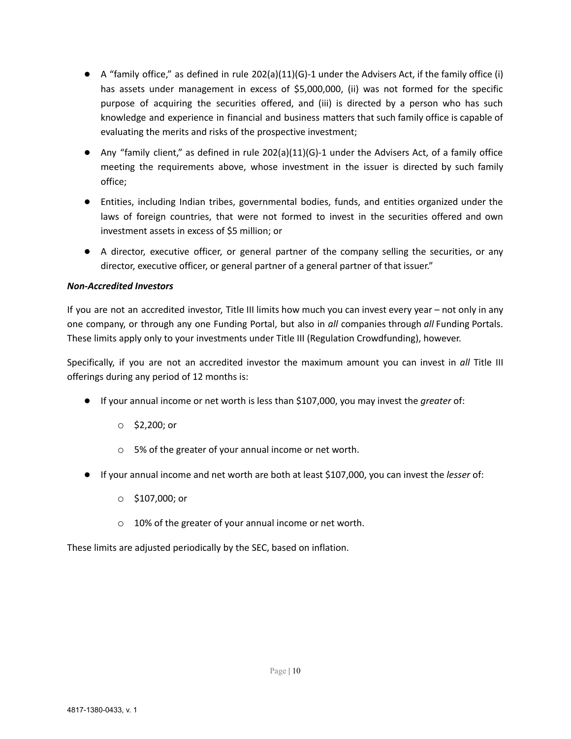- $\bullet$  A "family office," as defined in rule 202(a)(11)(G)-1 under the Advisers Act, if the family office (i) has assets under management in excess of \$5,000,000, (ii) was not formed for the specific purpose of acquiring the securities offered, and (iii) is directed by a person who has such knowledge and experience in financial and business matters that such family office is capable of evaluating the merits and risks of the prospective investment;
- Any "family client," as defined in rule 202(a)(11)(G)-1 under the Advisers Act, of a family office meeting the requirements above, whose investment in the issuer is directed by such family office;
- Entities, including Indian tribes, governmental bodies, funds, and entities organized under the laws of foreign countries, that were not formed to invest in the securities offered and own investment assets in excess of \$5 million; or
- A director, executive officer, or general partner of the company selling the securities, or any director, executive officer, or general partner of a general partner of that issuer."

## *Non-Accredited Investors*

If you are not an accredited investor, Title III limits how much you can invest every year – not only in any one company, or through any one Funding Portal, but also in *all* companies through *all* Funding Portals. These limits apply only to your investments under Title III (Regulation Crowdfunding), however.

Specifically, if you are not an accredited investor the maximum amount you can invest in *all* Title III offerings during any period of 12 months is:

- If your annual income or net worth is less than \$107,000, you may invest the *greater* of:
	- o \$2,200; or
	- o 5% of the greater of your annual income or net worth.
- If your annual income and net worth are both at least \$107,000, you can invest the *lesser* of:
	- o \$107,000; or
	- o 10% of the greater of your annual income or net worth.

These limits are adjusted periodically by the SEC, based on inflation.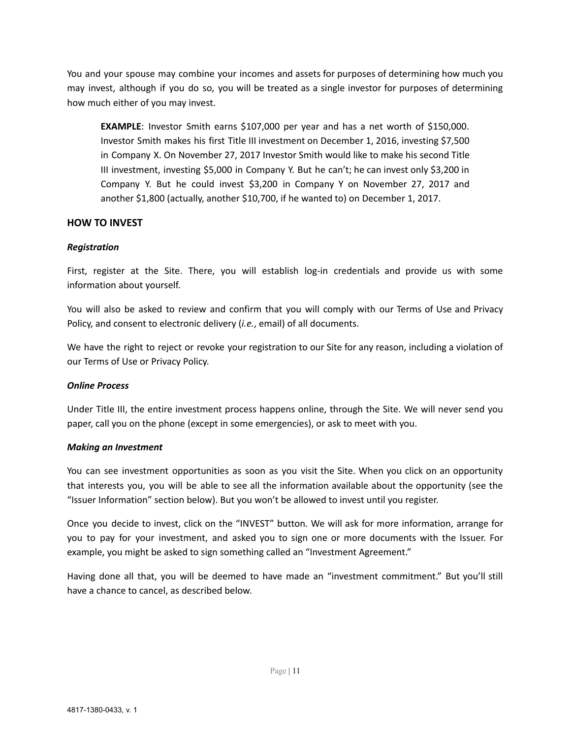You and your spouse may combine your incomes and assets for purposes of determining how much you may invest, although if you do so, you will be treated as a single investor for purposes of determining how much either of you may invest.

**EXAMPLE**: Investor Smith earns \$107,000 per year and has a net worth of \$150,000. Investor Smith makes his first Title III investment on December 1, 2016, investing \$7,500 in Company X. On November 27, 2017 Investor Smith would like to make his second Title III investment, investing \$5,000 in Company Y. But he can't; he can invest only \$3,200 in Company Y. But he could invest \$3,200 in Company Y on November 27, 2017 and another \$1,800 (actually, another \$10,700, if he wanted to) on December 1, 2017.

#### **HOW TO INVEST**

#### *Registration*

First, register at the Site. There, you will establish log-in credentials and provide us with some information about yourself.

You will also be asked to review and confirm that you will comply with our Terms of Use and Privacy Policy, and consent to electronic delivery (*i.e.*, email) of all documents.

We have the right to reject or revoke your registration to our Site for any reason, including a violation of our Terms of Use or Privacy Policy.

#### *Online Process*

Under Title III, the entire investment process happens online, through the Site. We will never send you paper, call you on the phone (except in some emergencies), or ask to meet with you.

#### *Making an Investment*

You can see investment opportunities as soon as you visit the Site. When you click on an opportunity that interests you, you will be able to see all the information available about the opportunity (see the "Issuer Information" section below). But you won't be allowed to invest until you register.

Once you decide to invest, click on the "INVEST" button. We will ask for more information, arrange for you to pay for your investment, and asked you to sign one or more documents with the Issuer. For example, you might be asked to sign something called an "Investment Agreement."

Having done all that, you will be deemed to have made an "investment commitment." But you'll still have a chance to cancel, as described below.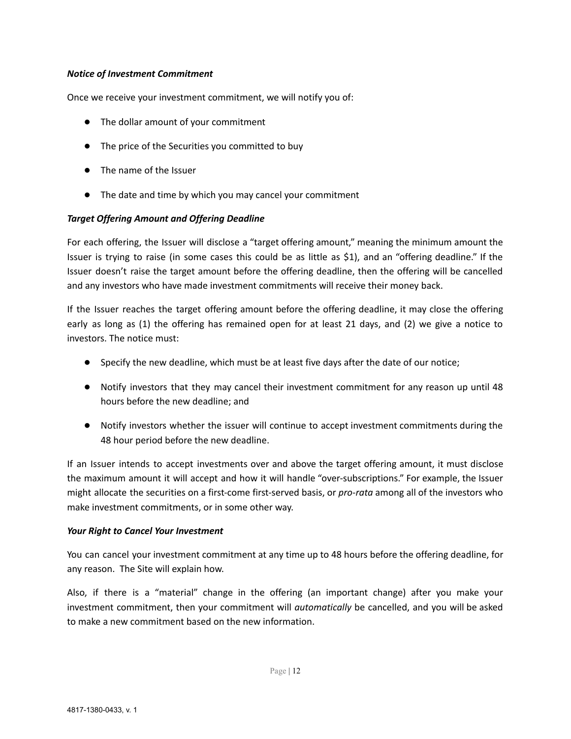#### *Notice of Investment Commitment*

Once we receive your investment commitment, we will notify you of:

- The dollar amount of your commitment
- The price of the Securities you committed to buy
- The name of the Issuer
- The date and time by which you may cancel your commitment

#### *Target Offering Amount and Offering Deadline*

For each offering, the Issuer will disclose a "target offering amount," meaning the minimum amount the Issuer is trying to raise (in some cases this could be as little as \$1), and an "offering deadline." If the Issuer doesn't raise the target amount before the offering deadline, then the offering will be cancelled and any investors who have made investment commitments will receive their money back.

If the Issuer reaches the target offering amount before the offering deadline, it may close the offering early as long as (1) the offering has remained open for at least 21 days, and (2) we give a notice to investors. The notice must:

- Specify the new deadline, which must be at least five days after the date of our notice;
- Notify investors that they may cancel their investment commitment for any reason up until 48 hours before the new deadline; and
- Notify investors whether the issuer will continue to accept investment commitments during the 48 hour period before the new deadline.

If an Issuer intends to accept investments over and above the target offering amount, it must disclose the maximum amount it will accept and how it will handle "over-subscriptions." For example, the Issuer might allocate the securities on a first-come first-served basis, or *pro-rata* among all of the investors who make investment commitments, or in some other way.

#### *Your Right to Cancel Your Investment*

You can cancel your investment commitment at any time up to 48 hours before the offering deadline, for any reason. The Site will explain how.

Also, if there is a "material" change in the offering (an important change) after you make your investment commitment, then your commitment will *automatically* be cancelled, and you will be asked to make a new commitment based on the new information.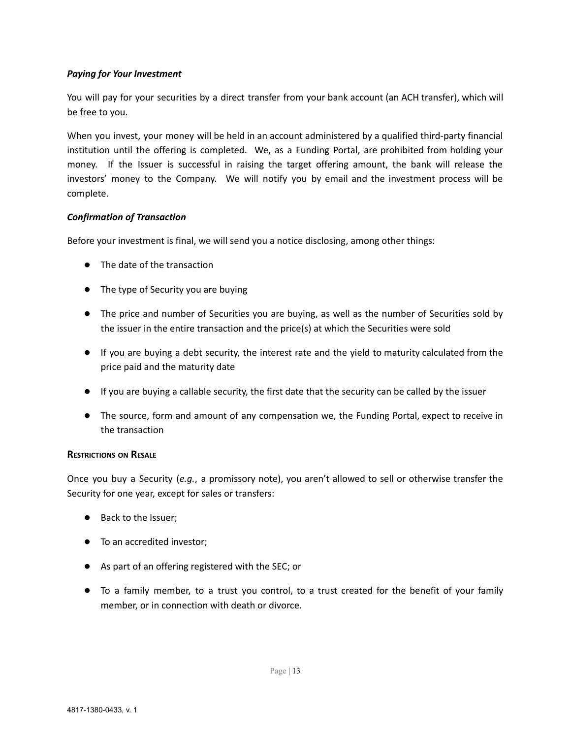## *Paying for Your Investment*

You will pay for your securities by a direct transfer from your bank account (an ACH transfer), which will be free to you.

When you invest, your money will be held in an account administered by a qualified third-party financial institution until the offering is completed. We, as a Funding Portal, are prohibited from holding your money. If the Issuer is successful in raising the target offering amount, the bank will release the investors' money to the Company. We will notify you by email and the investment process will be complete.

## *Confirmation of Transaction*

Before your investment is final, we will send you a notice disclosing, among other things:

- The date of the transaction
- The type of Security you are buying
- The price and number of Securities you are buying, as well as the number of Securities sold by the issuer in the entire transaction and the price(s) at which the Securities were sold
- If you are buying a debt security, the interest rate and the yield to maturity calculated from the price paid and the maturity date
- If you are buying a callable security, the first date that the security can be called by the issuer
- The source, form and amount of any compensation we, the Funding Portal, expect to receive in the transaction

#### **RESTRICTIONS ON RESALE**

Once you buy a Security (*e.g.*, a promissory note), you aren't allowed to sell or otherwise transfer the Security for one year, except for sales or transfers:

- Back to the Issuer;
- To an accredited investor;
- As part of an offering registered with the SEC; or
- To a family member, to a trust you control, to a trust created for the benefit of your family member, or in connection with death or divorce.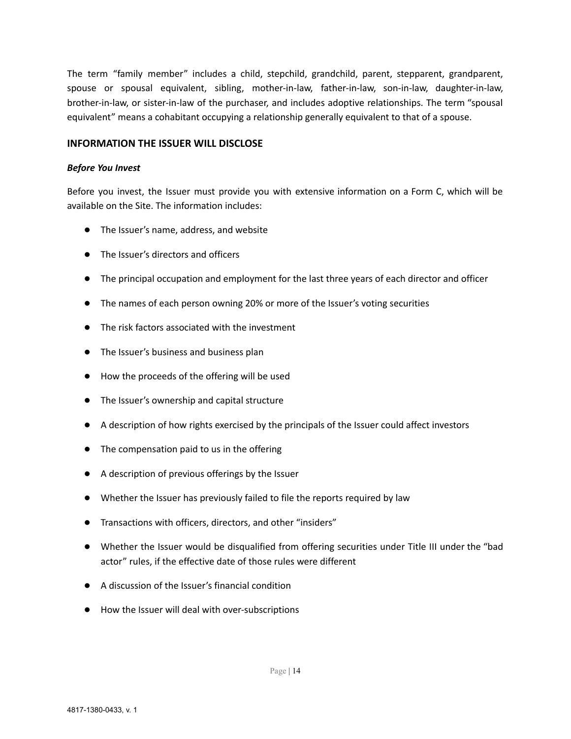The term "family member" includes a child, stepchild, grandchild, parent, stepparent, grandparent, spouse or spousal equivalent, sibling, mother-in-law, father-in-law, son-in-law, daughter-in-law, brother-in-law, or sister-in-law of the purchaser, and includes adoptive relationships. The term "spousal equivalent" means a cohabitant occupying a relationship generally equivalent to that of a spouse.

#### **INFORMATION THE ISSUER WILL DISCLOSE**

#### *Before You Invest*

Before you invest, the Issuer must provide you with extensive information on a Form C, which will be available on the Site. The information includes:

- The Issuer's name, address, and website
- The Issuer's directors and officers
- The principal occupation and employment for the last three years of each director and officer
- The names of each person owning 20% or more of the Issuer's voting securities
- The risk factors associated with the investment
- The Issuer's business and business plan
- How the proceeds of the offering will be used
- The Issuer's ownership and capital structure
- A description of how rights exercised by the principals of the Issuer could affect investors
- The compensation paid to us in the offering
- A description of previous offerings by the Issuer
- Whether the Issuer has previously failed to file the reports required by law
- Transactions with officers, directors, and other "insiders"
- Whether the Issuer would be disqualified from offering securities under Title III under the "bad actor" rules, if the effective date of those rules were different
- A discussion of the Issuer's financial condition
- How the Issuer will deal with over-subscriptions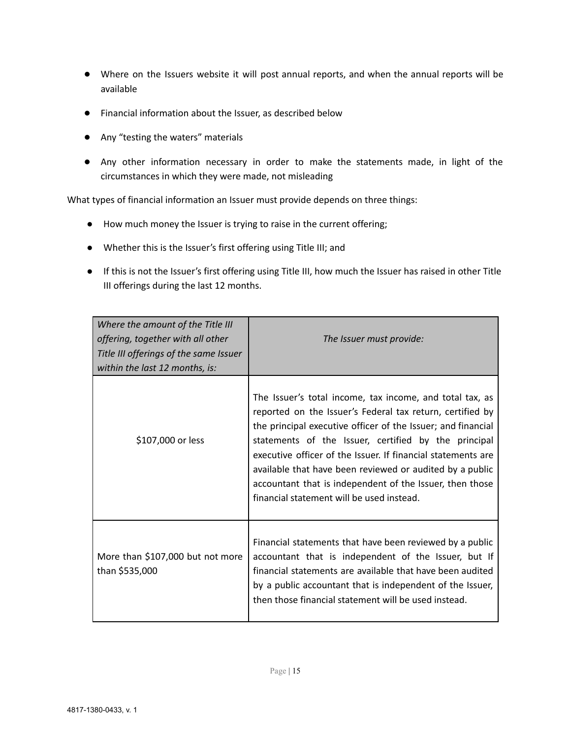- Where on the Issuers website it will post annual reports, and when the annual reports will be available
- Financial information about the Issuer, as described below
- Any "testing the waters" materials
- Any other information necessary in order to make the statements made, in light of the circumstances in which they were made, not misleading

What types of financial information an Issuer must provide depends on three things:

- How much money the Issuer is trying to raise in the current offering;
- Whether this is the Issuer's first offering using Title III; and
- If this is not the Issuer's first offering using Title III, how much the Issuer has raised in other Title III offerings during the last 12 months.

| Where the amount of the Title III<br>offering, together with all other<br>Title III offerings of the same Issuer<br>within the last 12 months, is: | The Issuer must provide:                                                                                                                                                                                                                                                                                                                                                                                                                                                           |
|----------------------------------------------------------------------------------------------------------------------------------------------------|------------------------------------------------------------------------------------------------------------------------------------------------------------------------------------------------------------------------------------------------------------------------------------------------------------------------------------------------------------------------------------------------------------------------------------------------------------------------------------|
| \$107,000 or less                                                                                                                                  | The Issuer's total income, tax income, and total tax, as<br>reported on the Issuer's Federal tax return, certified by<br>the principal executive officer of the Issuer; and financial<br>statements of the Issuer, certified by the principal<br>executive officer of the Issuer. If financial statements are<br>available that have been reviewed or audited by a public<br>accountant that is independent of the Issuer, then those<br>financial statement will be used instead. |
| More than \$107,000 but not more<br>than \$535,000                                                                                                 | Financial statements that have been reviewed by a public<br>accountant that is independent of the Issuer, but If<br>financial statements are available that have been audited<br>by a public accountant that is independent of the Issuer,<br>then those financial statement will be used instead.                                                                                                                                                                                 |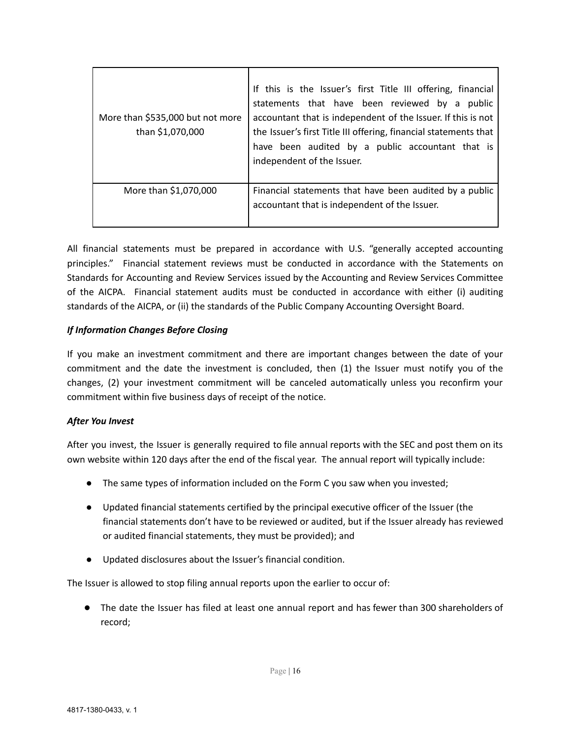| More than \$535,000 but not more<br>than \$1,070,000 | If this is the Issuer's first Title III offering, financial<br>statements that have been reviewed by a public<br>accountant that is independent of the Issuer. If this is not<br>the Issuer's first Title III offering, financial statements that<br>have been audited by a public accountant that is<br>independent of the Issuer. |
|------------------------------------------------------|-------------------------------------------------------------------------------------------------------------------------------------------------------------------------------------------------------------------------------------------------------------------------------------------------------------------------------------|
| More than \$1,070,000                                | Financial statements that have been audited by a public<br>accountant that is independent of the Issuer.                                                                                                                                                                                                                            |

All financial statements must be prepared in accordance with U.S. "generally accepted accounting principles." Financial statement reviews must be conducted in accordance with the Statements on Standards for Accounting and Review Services issued by the Accounting and Review Services Committee of the AICPA. Financial statement audits must be conducted in accordance with either (i) auditing standards of the AICPA, or (ii) the standards of the Public Company Accounting Oversight Board.

## *If Information Changes Before Closing*

If you make an investment commitment and there are important changes between the date of your commitment and the date the investment is concluded, then (1) the Issuer must notify you of the changes, (2) your investment commitment will be canceled automatically unless you reconfirm your commitment within five business days of receipt of the notice.

## *After You Invest*

After you invest, the Issuer is generally required to file annual reports with the SEC and post them on its own website within 120 days after the end of the fiscal year. The annual report will typically include:

- The same types of information included on the Form C you saw when you invested;
- Updated financial statements certified by the principal executive officer of the Issuer (the financial statements don't have to be reviewed or audited, but if the Issuer already has reviewed or audited financial statements, they must be provided); and
- Updated disclosures about the Issuer's financial condition.

The Issuer is allowed to stop filing annual reports upon the earlier to occur of:

● The date the Issuer has filed at least one annual report and has fewer than 300 shareholders of record;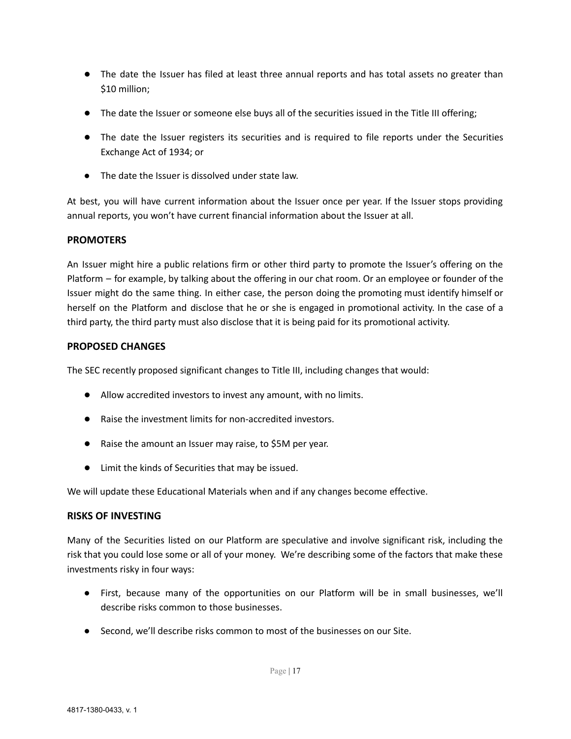- The date the Issuer has filed at least three annual reports and has total assets no greater than \$10 million;
- The date the Issuer or someone else buys all of the securities issued in the Title III offering;
- The date the Issuer registers its securities and is required to file reports under the Securities Exchange Act of 1934; or
- **●** The date the Issuer is dissolved under state law.

At best, you will have current information about the Issuer once per year. If the Issuer stops providing annual reports, you won't have current financial information about the Issuer at all.

## **PROMOTERS**

An Issuer might hire a public relations firm or other third party to promote the Issuer's offering on the Platform – for example, by talking about the offering in our chat room. Or an employee or founder of the Issuer might do the same thing. In either case, the person doing the promoting must identify himself or herself on the Platform and disclose that he or she is engaged in promotional activity. In the case of a third party, the third party must also disclose that it is being paid for its promotional activity.

## **PROPOSED CHANGES**

The SEC recently proposed significant changes to Title III, including changes that would:

- Allow accredited investors to invest any amount, with no limits.
- Raise the investment limits for non-accredited investors.
- Raise the amount an Issuer may raise, to \$5M per year.
- Limit the kinds of Securities that may be issued.

We will update these Educational Materials when and if any changes become effective.

#### **RISKS OF INVESTING**

Many of the Securities listed on our Platform are speculative and involve significant risk, including the risk that you could lose some or all of your money. We're describing some of the factors that make these investments risky in four ways:

- First, because many of the opportunities on our Platform will be in small businesses, we'll describe risks common to those businesses.
- Second, we'll describe risks common to most of the businesses on our Site.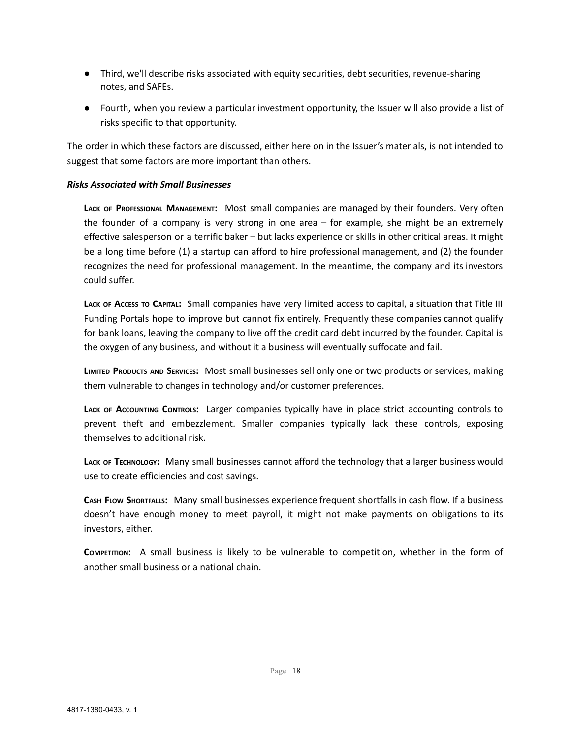- Third, we'll describe risks associated with equity securities, debt securities, revenue-sharing notes, and SAFEs.
- Fourth, when you review a particular investment opportunity, the Issuer will also provide a list of risks specific to that opportunity.

The order in which these factors are discussed, either here on in the Issuer's materials, is not intended to suggest that some factors are more important than others.

#### *Risks Associated with Small Businesses*

**LACK OF PROFESSIONAL MANAGEMENT:** Most small companies are managed by their founders. Very often the founder of a company is very strong in one area – for example, she might be an extremely effective salesperson or a terrific baker – but lacks experience or skills in other critical areas. It might be a long time before (1) a startup can afford to hire professional management, and (2) the founder recognizes the need for professional management. In the meantime, the company and its investors could suffer.

**LACK OF ACCESS TO CAPITAL:** Small companies have very limited access to capital, a situation that Title III Funding Portals hope to improve but cannot fix entirely. Frequently these companies cannot qualify for bank loans, leaving the company to live off the credit card debt incurred by the founder. Capital is the oxygen of any business, and without it a business will eventually suffocate and fail.

**LIMITED PRODUCTS AND SERVICES:** Most small businesses sell only one or two products or services, making them vulnerable to changes in technology and/or customer preferences.

**LACK OF ACCOUNTING CONTROLS:** Larger companies typically have in place strict accounting controls to prevent theft and embezzlement. Smaller companies typically lack these controls, exposing themselves to additional risk.

**LACK OF TECHNOLOGY:** Many small businesses cannot afford the technology that a larger business would use to create efficiencies and cost savings.

**CASH FLOW SHORTFALLS:** Many small businesses experience frequent shortfalls in cash flow. If a business doesn't have enough money to meet payroll, it might not make payments on obligations to its investors, either.

**COMPETITION:** A small business is likely to be vulnerable to competition, whether in the form of another small business or a national chain.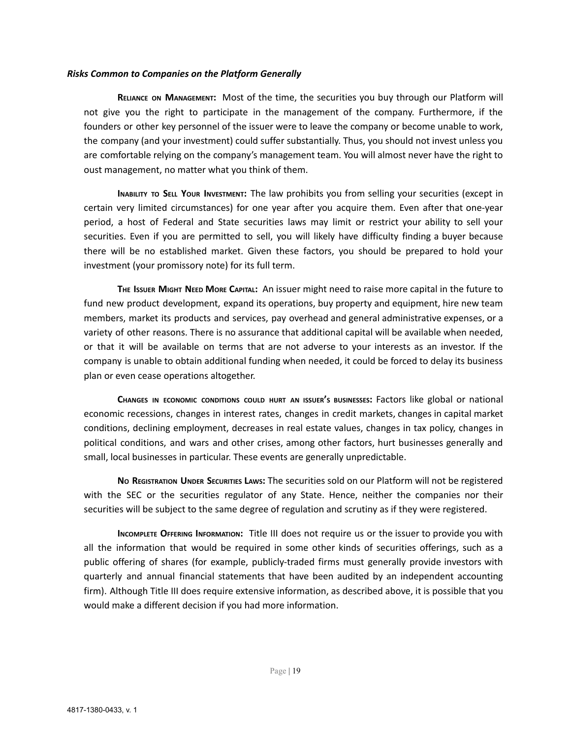#### *Risks Common to Companies on the Platform Generally*

**RELIANCE ON MANAGEMENT:** Most of the time, the securities you buy through our Platform will not give you the right to participate in the management of the company. Furthermore, if the founders or other key personnel of the issuer were to leave the company or become unable to work, the company (and your investment) could suffer substantially. Thus, you should not invest unless you are comfortable relying on the company's management team. You will almost never have the right to oust management, no matter what you think of them.

**INABILITY TO SELL YOUR INVESTMENT:** The law prohibits you from selling your securities (except in certain very limited circumstances) for one year after you acquire them. Even after that one-year period, a host of Federal and State securities laws may limit or restrict your ability to sell your securities. Even if you are permitted to sell, you will likely have difficulty finding a buyer because there will be no established market. Given these factors, you should be prepared to hold your investment (your promissory note) for its full term.

**THE ISSUER MIGHT NEED MORE CAPITAL:** An issuer might need to raise more capital in the future to fund new product development, expand its operations, buy property and equipment, hire new team members, market its products and services, pay overhead and general administrative expenses, or a variety of other reasons. There is no assurance that additional capital will be available when needed, or that it will be available on terms that are not adverse to your interests as an investor. If the company is unable to obtain additional funding when needed, it could be forced to delay its business plan or even cease operations altogether.

**CHANGES IN ECONOMIC CONDITIONS COULD HURT AN ISSUER'<sup>S</sup> BUSINESSES:** Factors like global or national economic recessions, changes in interest rates, changes in credit markets, changes in capital market conditions, declining employment, decreases in real estate values, changes in tax policy, changes in political conditions, and wars and other crises, among other factors, hurt businesses generally and small, local businesses in particular. These events are generally unpredictable.

**N<sup>O</sup> REGISTRATION UNDER SECURITIES LAWS:** The securities sold on our Platform will not be registered with the SEC or the securities regulator of any State. Hence, neither the companies nor their securities will be subject to the same degree of regulation and scrutiny as if they were registered.

**INCOMPLETE OFFERING INFORMATION:** Title III does not require us or the issuer to provide you with all the information that would be required in some other kinds of securities offerings, such as a public offering of shares (for example, publicly-traded firms must generally provide investors with quarterly and annual financial statements that have been audited by an independent accounting firm). Although Title III does require extensive information, as described above, it is possible that you would make a different decision if you had more information.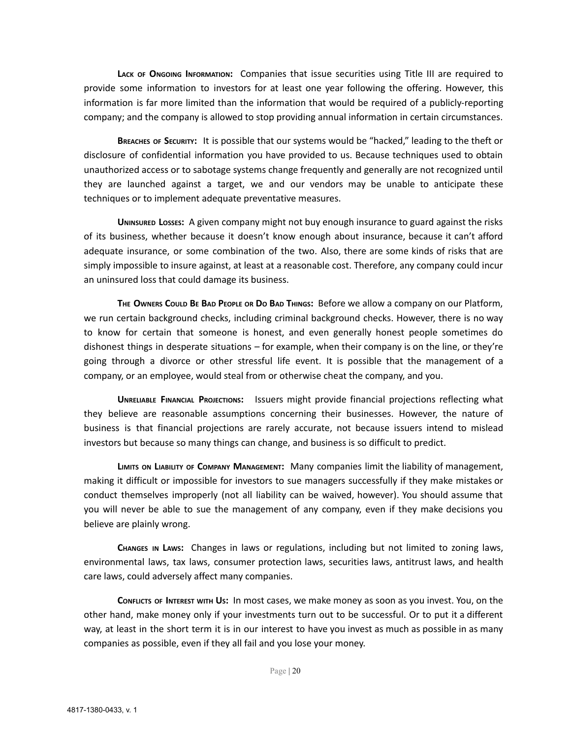**LACK OF ONGOING INFORMATION:** Companies that issue securities using Title III are required to provide some information to investors for at least one year following the offering. However, this information is far more limited than the information that would be required of a publicly-reporting company; and the company is allowed to stop providing annual information in certain circumstances.

**BREACHES OF SECURITY:** It is possible that our systems would be "hacked," leading to the theft or disclosure of confidential information you have provided to us. Because techniques used to obtain unauthorized access or to sabotage systems change frequently and generally are not recognized until they are launched against a target, we and our vendors may be unable to anticipate these techniques or to implement adequate preventative measures.

**UNINSURED LOSSES:** A given company might not buy enough insurance to guard against the risks of its business, whether because it doesn't know enough about insurance, because it can't afford adequate insurance, or some combination of the two. Also, there are some kinds of risks that are simply impossible to insure against, at least at a reasonable cost. Therefore, any company could incur an uninsured loss that could damage its business.

THE OWNERS COULD BE BAD PEOPLE OR DO BAD THINGS: Before we allow a company on our Platform, we run certain background checks, including criminal background checks. However, there is no way to know for certain that someone is honest, and even generally honest people sometimes do dishonest things in desperate situations – for example, when their company is on the line, or they're going through a divorce or other stressful life event. It is possible that the management of a company, or an employee, would steal from or otherwise cheat the company, and you.

**UNRELIABLE FINANCIAL PROJECTIONS:** Issuers might provide financial projections reflecting what they believe are reasonable assumptions concerning their businesses. However, the nature of business is that financial projections are rarely accurate, not because issuers intend to mislead investors but because so many things can change, and business is so difficult to predict.

**LIMITS ON LIABILITY OF COMPANY MANAGEMENT:** Many companies limit the liability of management, making it difficult or impossible for investors to sue managers successfully if they make mistakes or conduct themselves improperly (not all liability can be waived, however). You should assume that you will never be able to sue the management of any company, even if they make decisions you believe are plainly wrong.

**CHANGES IN LAWS:** Changes in laws or regulations, including but not limited to zoning laws, environmental laws, tax laws, consumer protection laws, securities laws, antitrust laws, and health care laws, could adversely affect many companies.

**CONFLICTS OF INTEREST WITH US:** In most cases, we make money as soon as you invest. You, on the other hand, make money only if your investments turn out to be successful. Or to put it a different way, at least in the short term it is in our interest to have you invest as much as possible in as many companies as possible, even if they all fail and you lose your money.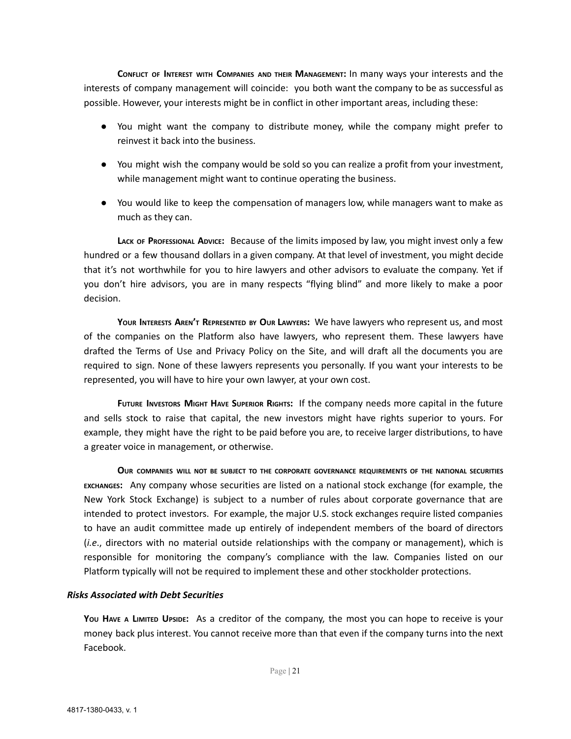**CONFLICT OF INTEREST WITH COMPANIES AND THEIR MANAGEMENT:** In many ways your interests and the interests of company management will coincide: you both want the company to be as successful as possible. However, your interests might be in conflict in other important areas, including these:

- You might want the company to distribute money, while the company might prefer to reinvest it back into the business.
- You might wish the company would be sold so you can realize a profit from your investment, while management might want to continue operating the business.
- You would like to keep the compensation of managers low, while managers want to make as much as they can.

**LACK OF PROFESSIONAL ADVICE:** Because of the limits imposed by law, you might invest only a few hundred or a few thousand dollars in a given company. At that level of investment, you might decide that it's not worthwhile for you to hire lawyers and other advisors to evaluate the company. Yet if you don't hire advisors, you are in many respects "flying blind" and more likely to make a poor decision.

**YOUR INTERESTS AREN'<sup>T</sup> REPRESENTED BY OUR LAWYERS:** We have lawyers who represent us, and most of the companies on the Platform also have lawyers, who represent them. These lawyers have drafted the Terms of Use and Privacy Policy on the Site, and will draft all the documents you are required to sign. None of these lawyers represents you personally. If you want your interests to be represented, you will have to hire your own lawyer, at your own cost.

**FUTURE INVESTORS MIGHT HAVE SUPERIOR RIGHTS:** If the company needs more capital in the future and sells stock to raise that capital, the new investors might have rights superior to yours. For example, they might have the right to be paid before you are, to receive larger distributions, to have a greater voice in management, or otherwise.

**OUR COMPANIES WILL NOT BE SUBJECT TO THE CORPORATE GOVERNANCE REQUIREMENTS OF THE NATIONAL SECURITIES EXCHANGES:** Any company whose securities are listed on a national stock exchange (for example, the New York Stock Exchange) is subject to a number of rules about corporate governance that are intended to protect investors. For example, the major U.S. stock exchanges require listed companies to have an audit committee made up entirely of independent members of the board of directors (*i.e*., directors with no material outside relationships with the company or management), which is responsible for monitoring the company's compliance with the law. Companies listed on our Platform typically will not be required to implement these and other stockholder protections.

#### *Risks Associated with Debt Securities*

**YOU HAVE <sup>A</sup> LIMITED UPSIDE:** As a creditor of the company, the most you can hope to receive is your money back plus interest. You cannot receive more than that even if the company turns into the next Facebook.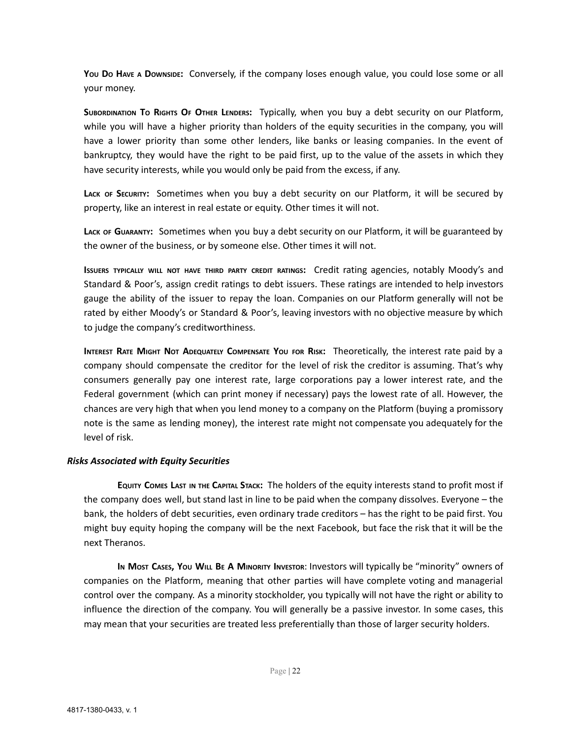**YOU DO HAVE A DOWNSIDE:** Conversely, if the company loses enough value, you could lose some or all your money.

**SUBORDINATION TO RIGHTS OF OTHER LENDERS:** Typically, when you buy a debt security on our Platform, while you will have a higher priority than holders of the equity securities in the company, you will have a lower priority than some other lenders, like banks or leasing companies. In the event of bankruptcy, they would have the right to be paid first, up to the value of the assets in which they have security interests, while you would only be paid from the excess, if any.

**LACK OF SECURITY:** Sometimes when you buy a debt security on our Platform, it will be secured by property, like an interest in real estate or equity. Other times it will not.

**LACK OF GUARANTY:** Sometimes when you buy a debt security on our Platform, it will be guaranteed by the owner of the business, or by someone else. Other times it will not.

**ISSUERS TYPICALLY WILL NOT HAVE THIRD PARTY CREDIT RATINGS:** Credit rating agencies, notably Moody's and Standard & Poor's, assign credit ratings to debt issuers. These ratings are intended to help investors gauge the ability of the issuer to repay the loan. Companies on our Platform generally will not be rated by either Moody's or Standard & Poor's, leaving investors with no objective measure by which to judge the company's creditworthiness.

INTEREST RATE MIGHT NOT ADEQUATELY COMPENSATE YOU FOR RISK: Theoretically, the interest rate paid by a company should compensate the creditor for the level of risk the creditor is assuming. That's why consumers generally pay one interest rate, large corporations pay a lower interest rate, and the Federal government (which can print money if necessary) pays the lowest rate of all. However, the chances are very high that when you lend money to a company on the Platform (buying a promissory note is the same as lending money), the interest rate might not compensate you adequately for the level of risk.

#### *Risks Associated with Equity Securities*

**EQUITY COMES LAST IN THE CAPITAL STACK:** The holders of the equity interests stand to profit most if the company does well, but stand last in line to be paid when the company dissolves. Everyone – the bank, the holders of debt securities, even ordinary trade creditors – has the right to be paid first. You might buy equity hoping the company will be the next Facebook, but face the risk that it will be the next Theranos.

**I<sup>N</sup> MOST CASES, YOU WILL B<sup>E</sup> A MINORITY INVESTOR**: Investors will typically be "minority" owners of companies on the Platform, meaning that other parties will have complete voting and managerial control over the company. As a minority stockholder, you typically will not have the right or ability to influence the direction of the company. You will generally be a passive investor. In some cases, this may mean that your securities are treated less preferentially than those of larger security holders.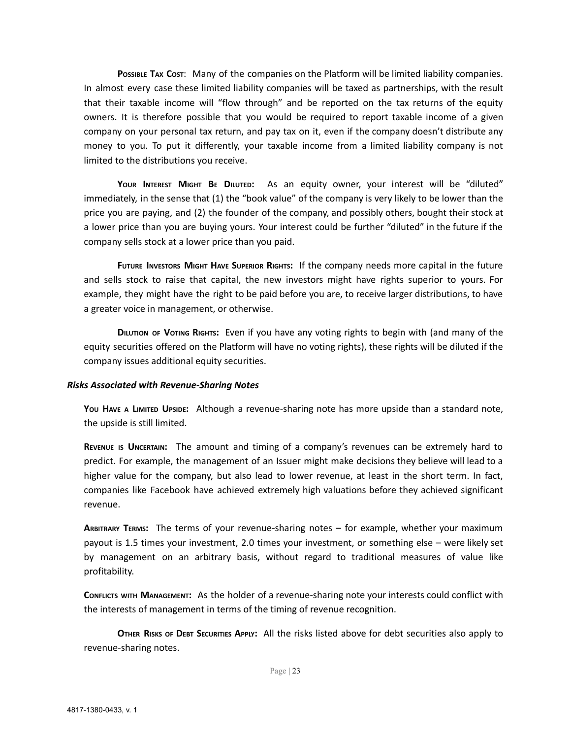**POSSIBLE TAX COST**: Many of the companies on the Platform will be limited liability companies. In almost every case these limited liability companies will be taxed as partnerships, with the result that their taxable income will "flow through" and be reported on the tax returns of the equity owners. It is therefore possible that you would be required to report taxable income of a given company on your personal tax return, and pay tax on it, even if the company doesn't distribute any money to you. To put it differently, your taxable income from a limited liability company is not limited to the distributions you receive.

**YOUR INTEREST MIGHT BE DILUTED:** As an equity owner, your interest will be "diluted" immediately, in the sense that (1) the "book value" of the company is very likely to be lower than the price you are paying, and (2) the founder of the company, and possibly others, bought their stock at a lower price than you are buying yours. Your interest could be further "diluted" in the future if the company sells stock at a lower price than you paid.

**FUTURE INVESTORS MIGHT HAVE SUPERIOR RIGHTS:** If the company needs more capital in the future and sells stock to raise that capital, the new investors might have rights superior to yours. For example, they might have the right to be paid before you are, to receive larger distributions, to have a greater voice in management, or otherwise.

**DILUTION OF VOTING RIGHTS:** Even if you have any voting rights to begin with (and many of the equity securities offered on the Platform will have no voting rights), these rights will be diluted if the company issues additional equity securities.

#### *Risks Associated with Revenue-Sharing Notes*

**YOU HAVE <sup>A</sup> LIMITED UPSIDE:** Although a revenue-sharing note has more upside than a standard note, the upside is still limited.

**REVENUE IS UNCERTAIN:** The amount and timing of a company's revenues can be extremely hard to predict. For example, the management of an Issuer might make decisions they believe will lead to a higher value for the company, but also lead to lower revenue, at least in the short term. In fact, companies like Facebook have achieved extremely high valuations before they achieved significant revenue.

**ARBITRARY TERMS:** The terms of your revenue-sharing notes – for example, whether your maximum payout is 1.5 times your investment, 2.0 times your investment, or something else – were likely set by management on an arbitrary basis, without regard to traditional measures of value like profitability.

**CONFLICTS WITH MANAGEMENT:** As the holder of a revenue-sharing note your interests could conflict with the interests of management in terms of the timing of revenue recognition.

**OTHER RISKS OF DEBT SECURITIES APPLY:** All the risks listed above for debt securities also apply to revenue-sharing notes.